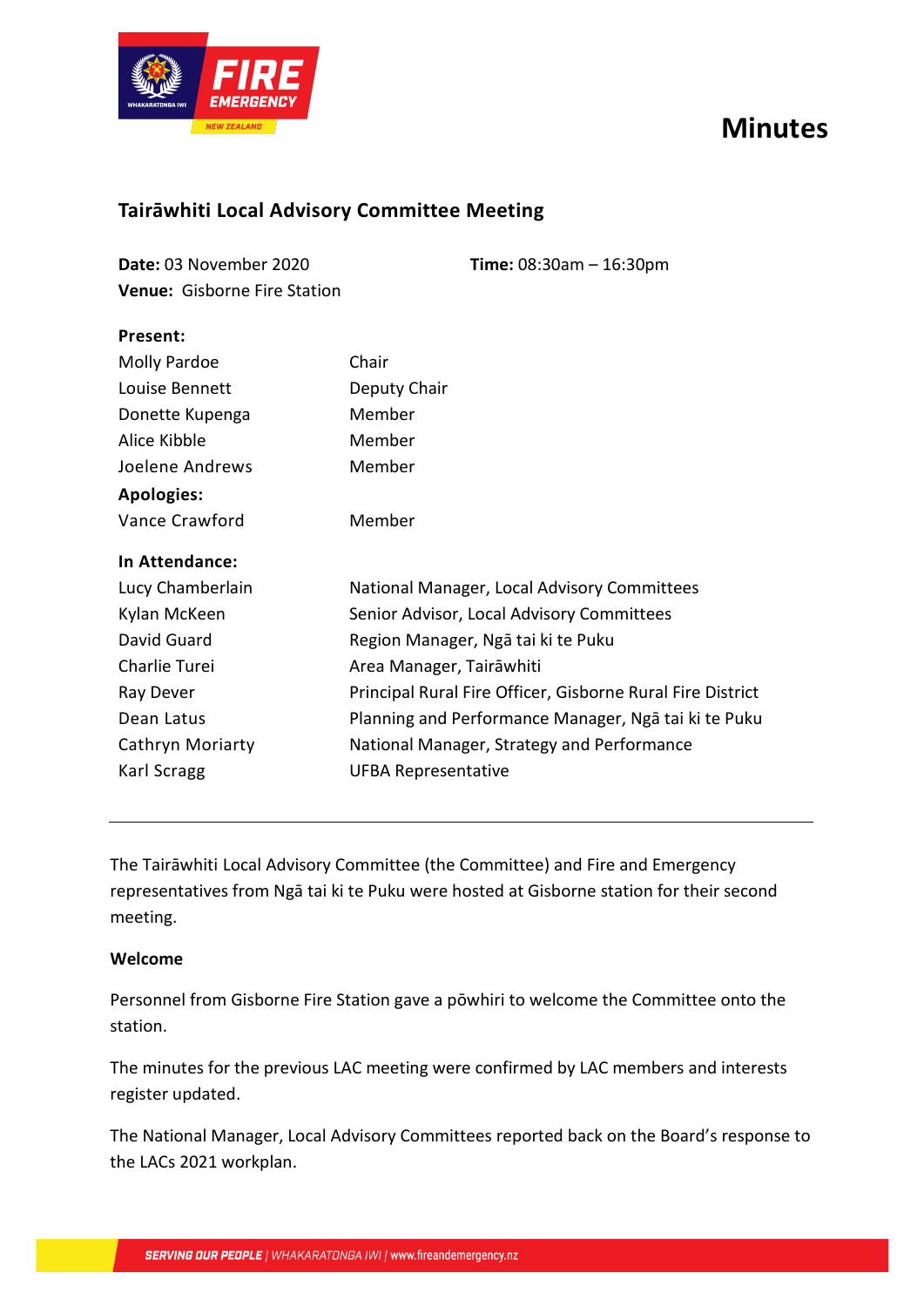# **Minutes**



**Present:**

# **Tairāwhiti Local Advisory Committee Meeting**

| Date: 03 November 2020              | <b>Time:</b> $08:30am - 16:30pm$ |
|-------------------------------------|----------------------------------|
| <b>Venue:</b> Gisborne Fire Station |                                  |

| <b>Molly Pardoe</b> | Chair                                                      |
|---------------------|------------------------------------------------------------|
| Louise Bennett      | Deputy Chair                                               |
| Donette Kupenga     | Member                                                     |
| Alice Kibble        | Member                                                     |
| Joelene Andrews     | Member                                                     |
| <b>Apologies:</b>   |                                                            |
| Vance Crawford      | Member                                                     |
| In Attendance:      |                                                            |
| Lucy Chamberlain    | National Manager, Local Advisory Committees                |
| Kylan McKeen        | Senior Advisor, Local Advisory Committees                  |
| David Guard         | Region Manager, Ngā tai ki te Puku                         |
| Charlie Turei       | Area Manager, Tairāwhiti                                   |
| Ray Dever           | Principal Rural Fire Officer, Gisborne Rural Fire District |
| Dean Latus          | Planning and Performance Manager, Ngā tai ki te Puku       |
| Cathryn Moriarty    | National Manager, Strategy and Performance                 |
| Karl Scragg         | <b>UFBA Representative</b>                                 |
|                     |                                                            |

The Tairāwhiti Local Advisory Committee (the Committee) and Fire and Emergency representatives from Ngā tai ki te Puku were hosted at Gisborne station for their second meeting.

#### **Welcome**

Personnel from Gisborne Fire Station gave a pōwhiri to welcome the Committee onto the station.

The minutes for the previous LAC meeting were confirmed by LAC members and interests register updated.

The National Manager, Local Advisory Committees reported back on the Board's response to the LACs 2021 workplan.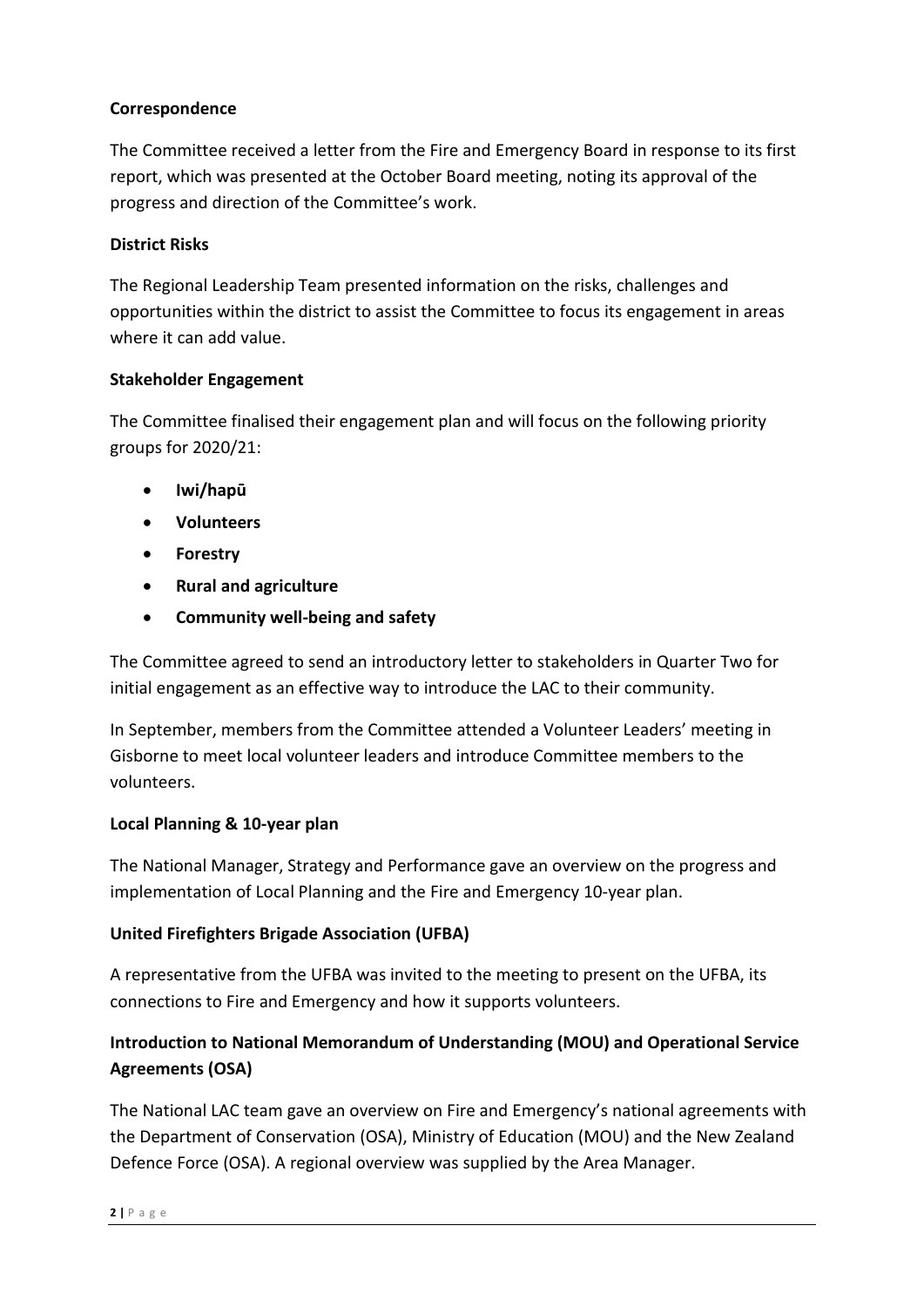#### **Correspondence**

The Committee received a letter from the Fire and Emergency Board in response to its first report, which was presented at the October Board meeting, noting its approval of the progress and direction of the Committee's work.

#### **District Risks**

The Regional Leadership Team presented information on the risks, challenges and opportunities within the district to assist the Committee to focus its engagement in areas where it can add value.

#### **Stakeholder Engagement**

The Committee finalised their engagement plan and will focus on the following priority groups for 2020/21:

- **Iwi/hapū**
- **Volunteers**
- **Forestry**
- **Rural and agriculture**
- **Community well-being and safety**

The Committee agreed to send an introductory letter to stakeholders in Quarter Two for initial engagement as an effective way to introduce the LAC to their community.

In September, members from the Committee attended a Volunteer Leaders' meeting in Gisborne to meet local volunteer leaders and introduce Committee members to the volunteers.

#### **Local Planning & 10-year plan**

The National Manager, Strategy and Performance gave an overview on the progress and implementation of Local Planning and the Fire and Emergency 10-year plan.

#### **United Firefighters Brigade Association (UFBA)**

A representative from the UFBA was invited to the meeting to present on the UFBA, its connections to Fire and Emergency and how it supports volunteers.

### **Introduction to National Memorandum of Understanding (MOU) and Operational Service Agreements (OSA)**

The National LAC team gave an overview on Fire and Emergency's national agreements with the Department of Conservation (OSA), Ministry of Education (MOU) and the New Zealand Defence Force (OSA). A regional overview was supplied by the Area Manager.